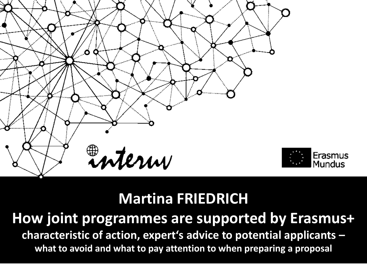



# **Martina FRIEDRICH**

## **How joint programmes are supported by Erasmus+ characteristic of action, expert's advice to potential applicants –**

**what to avoid and what to pay attention to when preparing a proposal**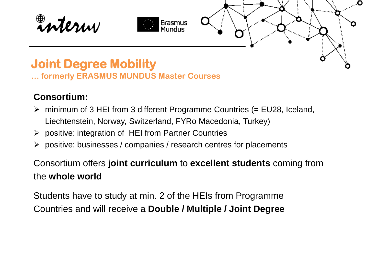





## **Joint Degree Mobility**

**… formerly ERASMUS MUNDUS Master Courses**

#### **Consortium:**

- $\triangleright$  minimum of 3 HEI from 3 different Programme Countries (= EU28, Iceland, Liechtenstein, Norway, Switzerland, FYRo Macedonia, Turkey)
- $\triangleright$  positive: integration of HEI from Partner Countries
- $\triangleright$  positive: businesses / companies / research centres for placements

Consortium offers **joint curriculum** to **excellent students** coming from the **whole world**

Students have to study at min. 2 of the HEIs from Programme Countries and will receive a **Double / Multiple / Joint Degree**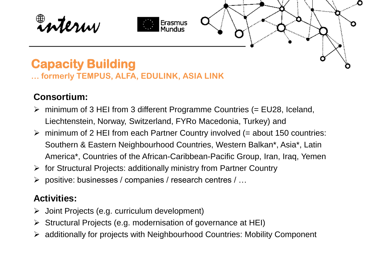





#### **Capacity Building … formerly TEMPUS, ALFA, EDULINK, ASIA LINK**

#### **Consortium:**

- $\triangleright$  minimum of 3 HEI from 3 different Programme Countries (= EU28, Iceland, Liechtenstein, Norway, Switzerland, FYRo Macedonia, Turkey) and
- $\triangleright$  minimum of 2 HEI from each Partner Country involved (= about 150 countries: Southern & Eastern Neighbourhood Countries, Western Balkan\*, Asia\*, Latin America\*, Countries of the African-Caribbean-Pacific Group, Iran, Iraq, Yemen
- $\triangleright$  for Structural Projects: additionally ministry from Partner Country
- positive: businesses / companies / research centres / …

#### **Activities:**

- $\triangleright$  Joint Projects (e.g. curriculum development)
- $\triangleright$  Structural Projects (e.g. modernisation of governance at HEI)
- additionally for projects with Neighbourhood Countries: Mobility Component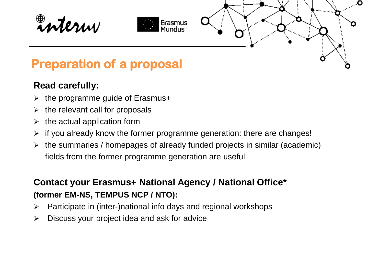





## **Preparation of a proposal**

#### **Read carefully:**

- $\triangleright$  the programme guide of Erasmus+
- $\triangleright$  the relevant call for proposals
- $\triangleright$  the actual application form
- $\triangleright$  if you already know the former programme generation: there are changes!
- $\triangleright$  the summaries / homepages of already funded projects in similar (academic) fields from the former programme generation are useful

#### **Contact your Erasmus+ National Agency / National Office\* (former EM-NS, TEMPUS NCP / NTO):**

- $\triangleright$  Participate in (inter-)national info days and regional workshops
- $\triangleright$  Discuss your project idea and ask for advice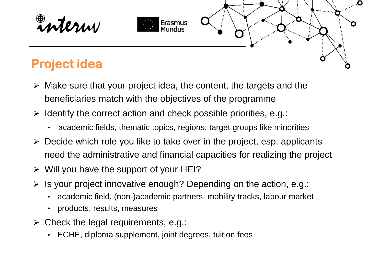





## **Project idea**

- $\triangleright$  Make sure that your project idea, the content, the targets and the beneficiaries match with the objectives of the programme
- $\triangleright$  Identify the correct action and check possible priorities, e.g.:
	- academic fields, thematic topics, regions, target groups like minorities
- $\triangleright$  Decide which role you like to take over in the project, esp. applicants need the administrative and financial capacities for realizing the project
- $\triangleright$  Will you have the support of your HEI?
- $\triangleright$  Is your project innovative enough? Depending on the action, e.g.:
	- academic field, (non-)academic partners, mobility tracks, labour market
	- products, results, measures
- $\triangleright$  Check the legal requirements, e.g.:
	- ECHE, diploma supplement, joint degrees, tuition fees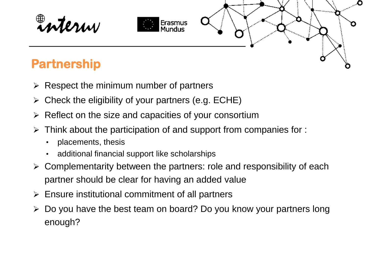





## **Partnership**

- $\triangleright$  Respect the minimum number of partners
- $\triangleright$  Check the eligibility of your partners (e.g. ECHE)
- $\triangleright$  Reflect on the size and capacities of your consortium
- $\triangleright$  Think about the participation of and support from companies for :
	- placements, thesis
	- additional financial support like scholarships
- $\triangleright$  Complementarity between the partners: role and responsibility of each partner should be clear for having an added value
- $\triangleright$  Ensure institutional commitment of all partners
- $\triangleright$  Do you have the best team on board? Do you know your partners long enough?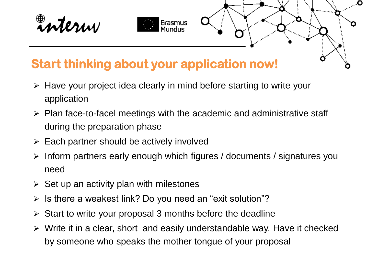



## **Start thinking about your application now!**

- $\triangleright$  Have your project idea clearly in mind before starting to write your application
- $\triangleright$  Plan face-to-facel meetings with the academic and administrative staff during the preparation phase

Ő

- $\triangleright$  Each partner should be actively involved
- $\triangleright$  Inform partners early enough which figures / documents / signatures you need
- $\triangleright$  Set up an activity plan with milestones
- $\triangleright$  Is there a weakest link? Do you need an "exit solution"?
- $\triangleright$  Start to write your proposal 3 months before the deadline
- Write it in a clear, short and easily understandable way. Have it checked by someone who speaks the mother tongue of your proposal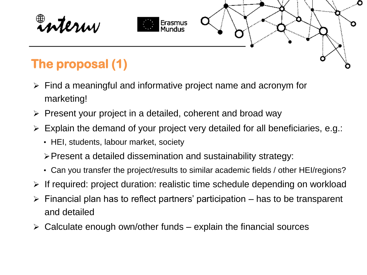



## **The proposal (1)**

- $\triangleright$  Find a meaningful and informative project name and acronym for marketing!
- $\triangleright$  Present your project in a detailed, coherent and broad way
- $\triangleright$  Explain the demand of your project very detailed for all beneficiaries, e.g.:
	- HEI, students, labour market, society
	- $\triangleright$  Present a detailed dissemination and sustainability strategy:
	- Can you transfer the project/results to similar academic fields / other HEI/regions?
- $\triangleright$  If required: project duration: realistic time schedule depending on workload
- $\triangleright$  Financial plan has to reflect partners' participation has to be transparent and detailed
- $\triangleright$  Calculate enough own/other funds explain the financial sources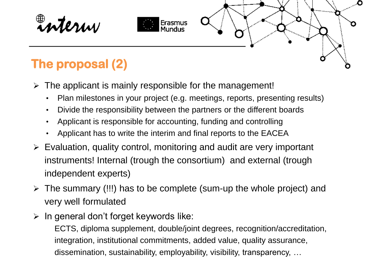





## **The proposal (2)**

- $\triangleright$  The applicant is mainly responsible for the management!
	- Plan milestones in your project (e.g. meetings, reports, presenting results)
	- Divide the responsibility between the partners or the different boards
	- Applicant is responsible for accounting, funding and controlling
	- Applicant has to write the interim and final reports to the EACEA
- $\triangleright$  Evaluation, quality control, monitoring and audit are very important instruments! Internal (trough the consortium) and external (trough independent experts)
- $\triangleright$  The summary (!!!) has to be complete (sum-up the whole project) and very well formulated
- $\triangleright$  In general don't forget keywords like:

ECTS, diploma supplement, double/joint degrees, recognition/accreditation, integration, institutional commitments, added value, quality assurance, dissemination, sustainability, employability, visibility, transparency, …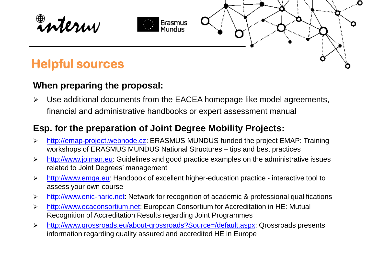

#### **When preparing the proposal:**

 Use additional documents from the EACEA homepage like model agreements, financial and administrative handbooks or expert assessment manual

#### **Esp. for the preparation of Joint Degree Mobility Projects:**

- [http://emap-project.webnode.cz:](http://emap-project.webnode.cz/) ERASMUS MUNDUS funded the project EMAP: Training workshops of ERASMUS MUNDUS National Structures – tips and best practices
- $\triangleright$  [http://www.joiman.eu](http://www.joiman.eu/): Guidelines and good practice examples on the administrative issues related to Joint Degrees' management
- [http://www.emqa.eu:](http://www.emqa.eu/) Handbook of excellent higher-education practice interactive tool to assess your own course
- [http://www.enic-naric.net](http://www.enic-naric.net/): Network for recognition of academic & professional qualifications
- [http://www.ecaconsortium.net:](http://www.ecaconsortium.net/) European Consortium for Accreditation in HE: Mutual Recognition of Accreditation Results regarding Joint Programmes
- [http://www.qrossroads.eu/about-qrossroads?Source=/default.aspx:](http://www.qrossroads.eu/about-qrossroads?Source=/default.aspx) Qrossroads presents information regarding quality assured and accredited HE in Europe